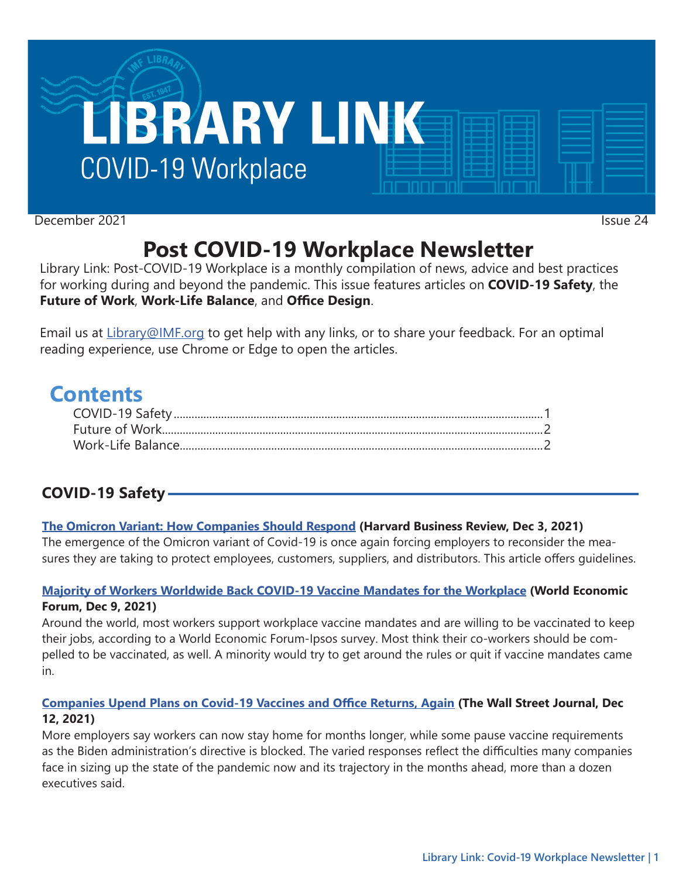

December 2021 Issue 24

# **Post COVID-19 Workplace Newsletter**

Library Link: Post-COVID-19 Workplace is a monthly compilation of news, advice and best practices for working during and beyond the pandemic. This issue features articles on **COVID-19 Safety**, the **Future of Work**, **Work-Life Balance**, and **Office Design**.

Email us at [Library@IMF.org](mailto:Library%40IMF.org?subject=) to get help with any links, or to share your feedback. For an optimal reading experience, use Chrome or Edge to open the articles.

## **Contents**

## **COVID-19 Safety**

### **[The Omicron Variant: How Companies Should Respond](http://t.imfconnect.imf.org/r/?id=h629753,302514a,30480ed) (Harvard Business Review, Dec 3, 2021)**

The emergence of the Omicron variant of Covid-19 is once again forcing employers to reconsider the measures they are taking to protect employees, customers, suppliers, and distributors. This article offers guidelines.

#### **[Majority of Workers Worldwide Back COVID-19 Vaccine Mandates for the Workplace](http://t.imfconnect.imf.org/r/?id=h629753,302514a,30480ee) (World Economic Forum, Dec 9, 2021)**

Around the world, most workers support workplace vaccine mandates and are willing to be vaccinated to keep their jobs, according to a World Economic Forum-Ipsos survey. Most think their co-workers should be compelled to be vaccinated, as well. A minority would try to get around the rules or quit if vaccine mandates came in.

### **[Companies Upend Plans on Covid-19 Vaccines and Office Returns, Again](http://t.imfconnect.imf.org/r/?id=h629753,302514a,30480ef) (The Wall Street Journal, Dec 12, 2021)**

More employers say workers can now stay home for months longer, while some pause vaccine requirements as the Biden administration's directive is blocked. The varied responses reflect the difficulties many companies face in sizing up the state of the pandemic now and its trajectory in the months ahead, more than a dozen executives said.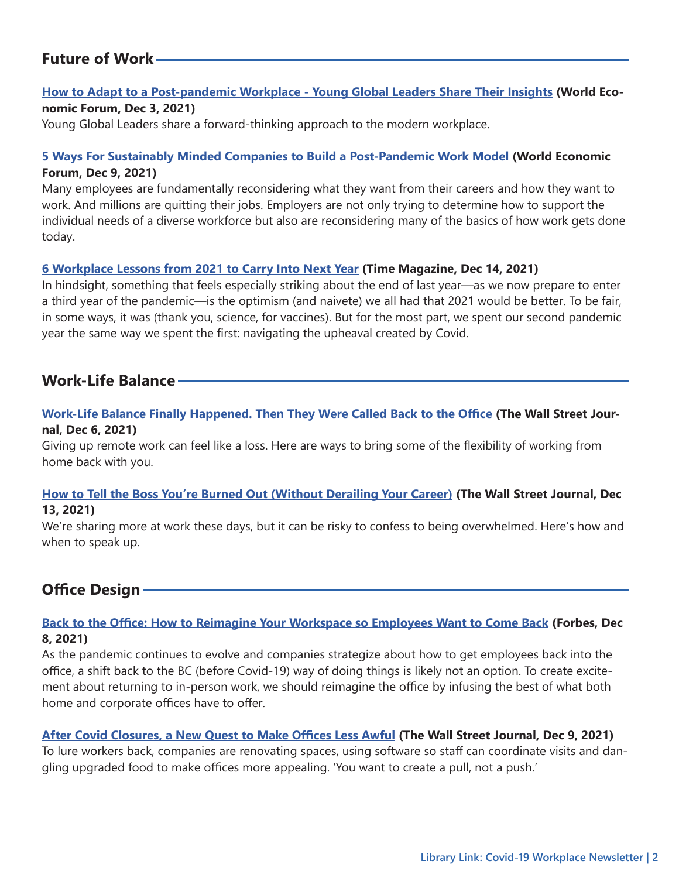## <span id="page-1-0"></span>**Future of Work**

#### **[How to Adapt to a Post-pandemic Workplace - Young Global Leaders Share Their Insights](http://t.imfconnect.imf.org/r/?id=h629753,302514a,30480f0) (World Economic Forum, Dec 3, 2021)**

Young Global Leaders share a forward-thinking approach to the modern workplace.

#### **[5 Ways For Sustainably Minded Companies to Build a Post-Pandemic Work Model](http://t.imfconnect.imf.org/r/?id=h629753,302514a,30480f1) (World Economic Forum, Dec 9, 2021)**

Many employees are fundamentally reconsidering what they want from their careers and how they want to work. And millions are quitting their jobs. Employers are not only trying to determine how to support the individual needs of a diverse workforce but also are reconsidering many of the basics of how work gets done today.

#### **[6 Workplace Lessons from 2021 to Carry Into Next Year](http://t.imfconnect.imf.org/r/?id=h629753,302514a,30480f2) (Time Magazine, Dec 14, 2021)**

In hindsight, something that feels especially striking about the end of last year—as we now prepare to enter a third year of the pandemic—is the optimism (and naivete) we all had that 2021 would be better. To be fair, in some ways, it was (thank you, science, for vaccines). But for the most part, we spent our second pandemic year the same way we spent the first: navigating the upheaval created by Covid.

## **Work-Life Balance**

#### **[Work-Life Balance Finally Happened. Then They Were Called Back to the Office](http://t.imfconnect.imf.org/r/?id=h629753,302514a,30480f3) (The Wall Street Journal, Dec 6, 2021)**

Giving up remote work can feel like a loss. Here are ways to bring some of the flexibility of working from home back with you.

#### **[How to Tell the Boss You're Burned Out \(Without Derailing Your Career\)](http://t.imfconnect.imf.org/r/?id=h629753,302514a,30480f4) (The Wall Street Journal, Dec 13, 2021)**

We're sharing more at work these days, but it can be risky to confess to being overwhelmed. Here's how and when to speak up.

## **Office Design**

#### **[Back to the Office: How to Reimagine Your Workspace so Employees Want to Come Back](http://t.imfconnect.imf.org/r/?id=h629753,302514a,30480f5) (Forbes, Dec 8, 2021)**

As the pandemic continues to evolve and companies strategize about how to get employees back into the office, a shift back to the BC (before Covid-19) way of doing things is likely not an option. To create excitement about returning to in-person work, we should reimagine the office by infusing the best of what both home and corporate offices have to offer.

#### **[After Covid Closures, a New Quest to Make Offices Less Awful](http://t.imfconnect.imf.org/r/?id=h629753,302514a,30480f6) (The Wall Street Journal, Dec 9, 2021)**

To lure workers back, companies are renovating spaces, using software so staff can coordinate visits and dangling upgraded food to make offices more appealing. 'You want to create a pull, not a push.'